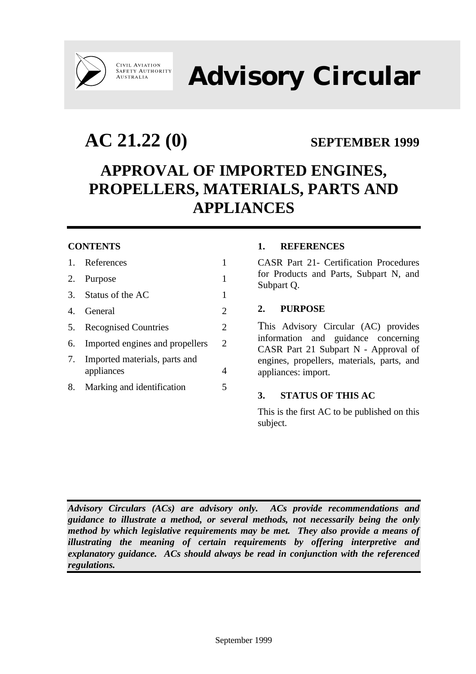

CIVIL AVIATION<br>SAFETY AUTHORITY<br>AUSTRALIA

# **Advisory Circular**

## **AC 21.22 (0) SEPTEMBER 1999**

### **APPROVAL OF IMPORTED ENGINES, PROPELLERS, MATERIALS, PARTS AND APPLIANCES**

#### **CONTENTS**

|    | 1. References                   |   |
|----|---------------------------------|---|
|    | 2. Purpose                      |   |
|    | 3. Status of the AC             | 1 |
|    | 4. General                      | 2 |
| 5. | <b>Recognised Countries</b>     | 2 |
| 6. | Imported engines and propellers | 2 |
| 7. | Imported materials, parts and   |   |
|    | appliances                      | 4 |
|    | 8. Marking and identification   |   |

#### **1. REFERENCES**

CASR Part 21- Certification Procedures for Products and Parts, Subpart N, and Subpart Q.

#### **2. PURPOSE**

This Advisory Circular (AC) provides information and guidance concerning CASR Part 21 Subpart N - Approval of engines, propellers, materials, parts, and appliances: import.

#### **3. STATUS OF THIS AC**

This is the first AC to be published on this subject.

*Advisory Circulars (ACs) are advisory only. ACs provide recommendations and guidance to illustrate a method, or several methods, not necessarily being the only method by which legislative requirements may be met. They also provide a means of illustrating the meaning of certain requirements by offering interpretive and explanatory guidance. ACs should always be read in conjunction with the referenced regulations.*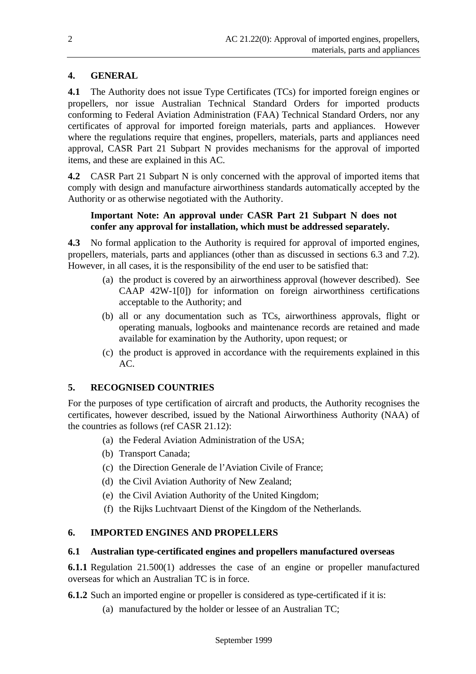### **4. GENERAL**

**4.1** The Authority does not issue Type Certificates (TCs) for imported foreign engines or propellers, nor issue Australian Technical Standard Orders for imported products conforming to Federal Aviation Administration (FAA) Technical Standard Orders, nor any certificates of approval for imported foreign materials, parts and appliances. However where the regulations require that engines, propellers, materials, parts and appliances need approval, CASR Part 21 Subpart N provides mechanisms for the approval of imported items, and these are explained in this AC.

**4.2** CASR Part 21 Subpart N is only concerned with the approval of imported items that comply with design and manufacture airworthiness standards automatically accepted by the Authority or as otherwise negotiated with the Authority.

#### **Important Note: An approval unde**r **CASR Part 21 Subpart N does not confer any approval for installation, which must be addressed separately.**

**4.3** No formal application to the Authority is required for approval of imported engines, propellers, materials, parts and appliances (other than as discussed in sections 6.3 and 7.2). However, in all cases, it is the responsibility of the end user to be satisfied that:

- (a) the product is covered by an airworthiness approval (however described). See CAAP 42W-1[0]) for information on foreign airworthiness certifications acceptable to the Authority; and
- (b) all or any documentation such as TCs, airworthiness approvals, flight or operating manuals, logbooks and maintenance records are retained and made available for examination by the Authority, upon request; or
- (c) the product is approved in accordance with the requirements explained in this AC.

#### **5. RECOGNISED COUNTRIES**

For the purposes of type certification of aircraft and products, the Authority recognises the certificates, however described, issued by the National Airworthiness Authority (NAA) of the countries as follows (ref CASR 21.12):

- (a) the Federal Aviation Administration of the USA;
- (b) Transport Canada;
- (c) the Direction Generale de l'Aviation Civile of France;
- (d) the Civil Aviation Authority of New Zealand;
- (e) the Civil Aviation Authority of the United Kingdom;
- (f) the Rijks Luchtvaart Dienst of the Kingdom of the Netherlands.

#### **6. IMPORTED ENGINES AND PROPELLERS**

#### **6.1 Australian type-certificated engines and propellers manufactured overseas**

**6.1.1** Regulation 21.500(1) addresses the case of an engine or propeller manufactured overseas for which an Australian TC is in force.

**6.1.2** Such an imported engine or propeller is considered as type-certificated if it is:

(a) manufactured by the holder or lessee of an Australian TC;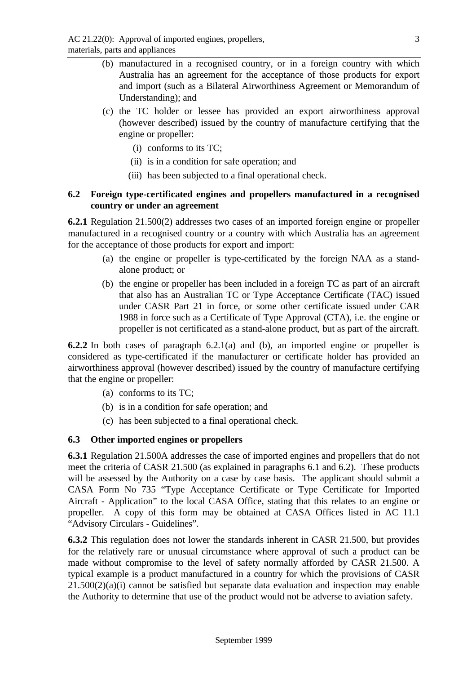- (b) manufactured in a recognised country, or in a foreign country with which Australia has an agreement for the acceptance of those products for export and import (such as a Bilateral Airworthiness Agreement or Memorandum of Understanding); and
- (c) the TC holder or lessee has provided an export airworthiness approval (however described) issued by the country of manufacture certifying that the engine or propeller:
	- (i) conforms to its TC;
	- (ii) is in a condition for safe operation; and
	- (iii) has been subjected to a final operational check.

#### **6.2 Foreign type-certificated engines and propellers manufactured in a recognised country or under an agreement**

**6.2.1** Regulation 21.500(2) addresses two cases of an imported foreign engine or propeller manufactured in a recognised country or a country with which Australia has an agreement for the acceptance of those products for export and import:

- (a) the engine or propeller is type-certificated by the foreign NAA as a standalone product; or
- (b) the engine or propeller has been included in a foreign TC as part of an aircraft that also has an Australian TC or Type Acceptance Certificate (TAC) issued under CASR Part 21 in force, or some other certificate issued under CAR 1988 in force such as a Certificate of Type Approval (CTA), i.e. the engine or propeller is not certificated as a stand-alone product, but as part of the aircraft.

**6.2.2** In both cases of paragraph 6.2.1(a) and (b), an imported engine or propeller is considered as type-certificated if the manufacturer or certificate holder has provided an airworthiness approval (however described) issued by the country of manufacture certifying that the engine or propeller:

- (a) conforms to its TC;
- (b) is in a condition for safe operation; and
- (c) has been subjected to a final operational check.

#### **6.3 Other imported engines or propellers**

**6.3.1** Regulation 21.500A addresses the case of imported engines and propellers that do not meet the criteria of CASR 21.500 (as explained in paragraphs 6.1 and 6.2). These products will be assessed by the Authority on a case by case basis. The applicant should submit a CASA Form No 735 "Type Acceptance Certificate or Type Certificate for Imported Aircraft - Application" to the local CASA Office, stating that this relates to an engine or propeller. A copy of this form may be obtained at CASA Offices listed in AC 11.1 "Advisory Circulars - Guidelines".

**6.3.2** This regulation does not lower the standards inherent in CASR 21.500, but provides for the relatively rare or unusual circumstance where approval of such a product can be made without compromise to the level of safety normally afforded by CASR 21.500. A typical example is a product manufactured in a country for which the provisions of CASR  $21.500(2)(a)(i)$  cannot be satisfied but separate data evaluation and inspection may enable the Authority to determine that use of the product would not be adverse to aviation safety.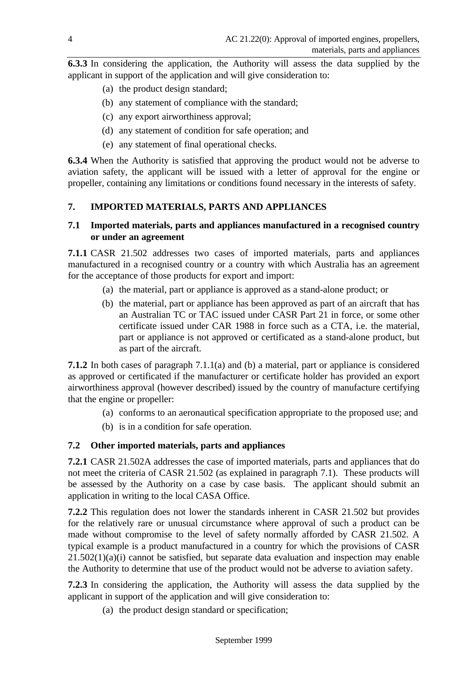**6.3.3** In considering the application, the Authority will assess the data supplied by the applicant in support of the application and will give consideration to:

- (a) the product design standard;
- (b) any statement of compliance with the standard;
- (c) any export airworthiness approval;
- (d) any statement of condition for safe operation; and
- (e) any statement of final operational checks.

**6.3.4** When the Authority is satisfied that approving the product would not be adverse to aviation safety, the applicant will be issued with a letter of approval for the engine or propeller, containing any limitations or conditions found necessary in the interests of safety.

### **7. IMPORTED MATERIALS, PARTS AND APPLIANCES**

#### **7.1 Imported materials, parts and appliances manufactured in a recognised country or under an agreement**

**7.1.1** CASR 21.502 addresses two cases of imported materials, parts and appliances manufactured in a recognised country or a country with which Australia has an agreement for the acceptance of those products for export and import:

- (a) the material, part or appliance is approved as a stand-alone product; or
- (b) the material, part or appliance has been approved as part of an aircraft that has an Australian TC or TAC issued under CASR Part 21 in force, or some other certificate issued under CAR 1988 in force such as a CTA, i.e. the material, part or appliance is not approved or certificated as a stand-alone product, but as part of the aircraft.

**7.1.2** In both cases of paragraph 7.1.1(a) and (b) a material, part or appliance is considered as approved or certificated if the manufacturer or certificate holder has provided an export airworthiness approval (however described) issued by the country of manufacture certifying that the engine or propeller:

- (a) conforms to an aeronautical specification appropriate to the proposed use; and
- (b) is in a condition for safe operation.

#### **7.2 Other imported materials, parts and appliances**

**7.2.1** CASR 21.502A addresses the case of imported materials, parts and appliances that do not meet the criteria of CASR 21.502 (as explained in paragraph 7.1). These products will be assessed by the Authority on a case by case basis. The applicant should submit an application in writing to the local CASA Office.

**7.2.2** This regulation does not lower the standards inherent in CASR 21.502 but provides for the relatively rare or unusual circumstance where approval of such a product can be made without compromise to the level of safety normally afforded by CASR 21.502. A typical example is a product manufactured in a country for which the provisions of CASR  $21.502(1)(a)(i)$  cannot be satisfied, but separate data evaluation and inspection may enable the Authority to determine that use of the product would not be adverse to aviation safety.

**7.2.3** In considering the application, the Authority will assess the data supplied by the applicant in support of the application and will give consideration to:

(a) the product design standard or specification;